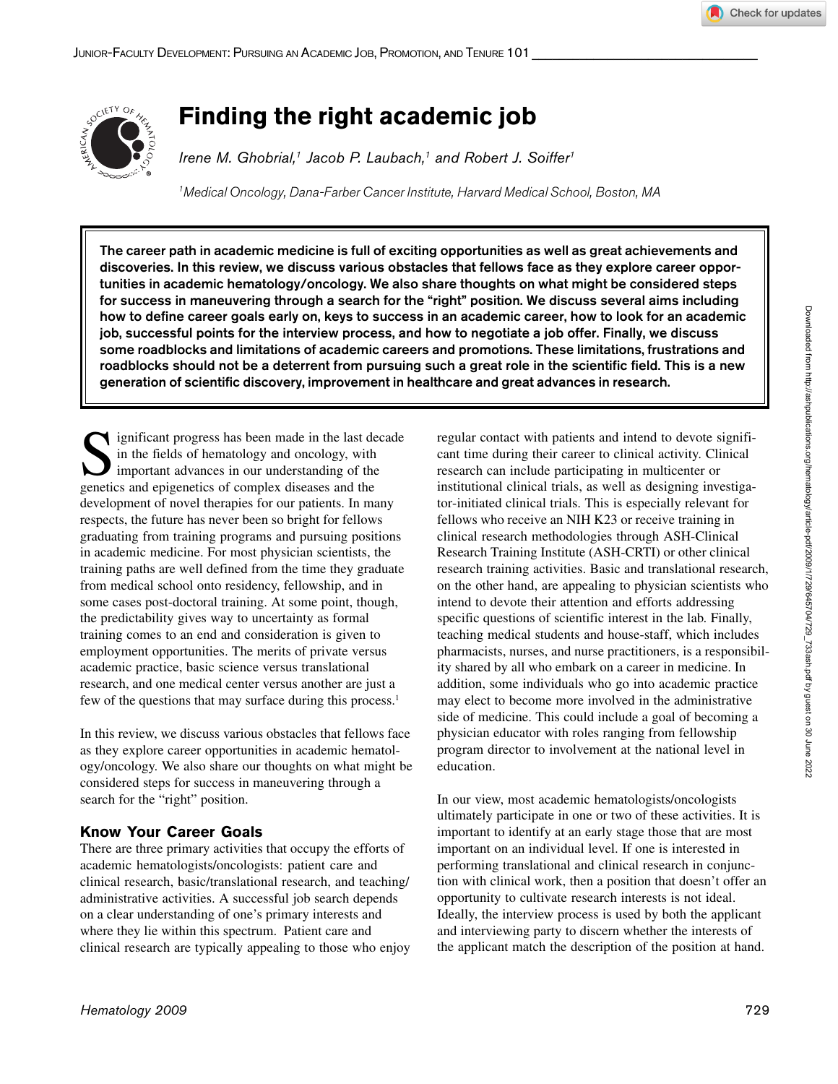

# **Finding the right academic job**

*Irene M. Ghobrial,<sup>1</sup> Jacob P. Laubach,<sup>1</sup> and Robert J. Soiffer<sup>1</sup>* 

*1Medical Oncology, Dana-Farber Cancer Institute, Harvard Medical School, Boston, MA*

The career path in academic medicine is full of exciting opportunities as well as great achievements and discoveries. In this review, we discuss various obstacles that fellows face as they explore career opportunities in academic hematology/oncology. We also share thoughts on what might be considered steps for success in maneuvering through a search for the "right" position. We discuss several aims including how to define career goals early on, keys to success in an academic career, how to look for an academic job, successful points for the interview process, and how to negotiate a job offer. Finally, we discuss some roadblocks and limitations of academic careers and promotions. These limitations, frustrations and roadblocks should not be a deterrent from pursuing such a great role in the scientific field. This is a new generation of scientific discovery, improvement in healthcare and great advances in research.

ignificant progress has been made in the last decade in the fields of hematology and oncology, with important advances in our understanding of the genetics and epigenetics of complex diseases and the development of novel therapies for our patients. In many respects, the future has never been so bright for fellows graduating from training programs and pursuing positions in academic medicine. For most physician scientists, the training paths are well defined from the time they graduate from medical school onto residency, fellowship, and in some cases post-doctoral training. At some point, though, the predictability gives way to uncertainty as formal training comes to an end and consideration is given to employment opportunities. The merits of private versus academic practice, basic science versus translational research, and one medical center versus another are just a few of the questions that may surface during this process.<sup>1</sup>

In this review, we discuss various obstacles that fellows face as they explore career opportunities in academic hematology/oncology. We also share our thoughts on what might be considered steps for success in maneuvering through a search for the "right" position.

## **Know Your Career Goals**

There are three primary activities that occupy the efforts of academic hematologists/oncologists: patient care and clinical research, basic/translational research, and teaching/ administrative activities. A successful job search depends on a clear understanding of one's primary interests and where they lie within this spectrum. Patient care and clinical research are typically appealing to those who enjoy regular contact with patients and intend to devote significant time during their career to clinical activity. Clinical research can include participating in multicenter or institutional clinical trials, as well as designing investigator-initiated clinical trials. This is especially relevant for fellows who receive an NIH K23 or receive training in clinical research methodologies through ASH-Clinical Research Training Institute (ASH-CRTI) or other clinical research training activities. Basic and translational research, on the other hand, are appealing to physician scientists who intend to devote their attention and efforts addressing specific questions of scientific interest in the lab. Finally, teaching medical students and house-staff, which includes pharmacists, nurses, and nurse practitioners, is a responsibility shared by all who embark on a career in medicine. In addition, some individuals who go into academic practice may elect to become more involved in the administrative side of medicine. This could include a goal of becoming a physician educator with roles ranging from fellowship program director to involvement at the national level in education.

In our view, most academic hematologists/oncologists ultimately participate in one or two of these activities. It is important to identify at an early stage those that are most important on an individual level. If one is interested in performing translational and clinical research in conjunction with clinical work, then a position that doesn't offer an opportunity to cultivate research interests is not ideal. Ideally, the interview process is used by both the applicant and interviewing party to discern whether the interests of the applicant match the description of the position at hand.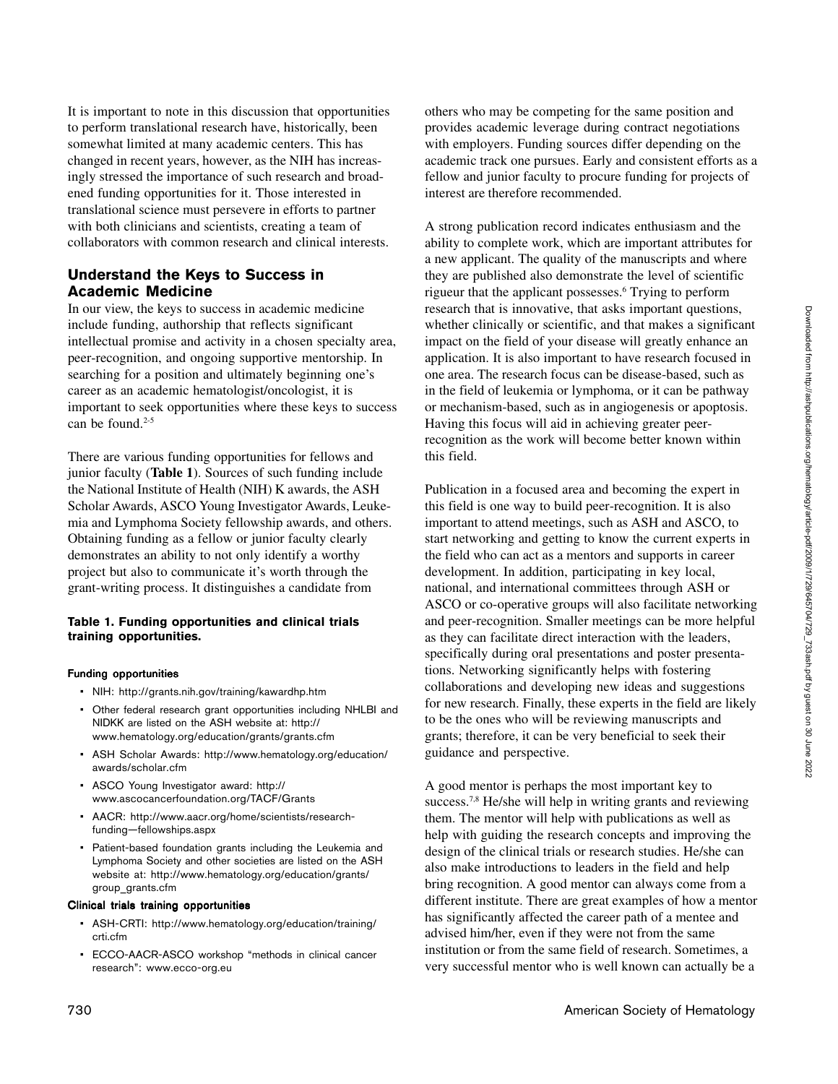It is important to note in this discussion that opportunities to perform translational research have, historically, been somewhat limited at many academic centers. This has changed in recent years, however, as the NIH has increasingly stressed the importance of such research and broadened funding opportunities for it. Those interested in translational science must persevere in efforts to partner with both clinicians and scientists, creating a team of collaborators with common research and clinical interests.

### **Understand the Keys to Success in Academic Medicine**

In our view, the keys to success in academic medicine include funding, authorship that reflects significant intellectual promise and activity in a chosen specialty area, peer-recognition, and ongoing supportive mentorship. In searching for a position and ultimately beginning one's career as an academic hematologist/oncologist, it is important to seek opportunities where these keys to success can be found. $2-5$ 

There are various funding opportunities for fellows and junior faculty (**Table 1**). Sources of such funding include the National Institute of Health (NIH) K awards, the ASH Scholar Awards, ASCO Young Investigator Awards, Leukemia and Lymphoma Society fellowship awards, and others. Obtaining funding as a fellow or junior faculty clearly demonstrates an ability to not only identify a worthy project but also to communicate it's worth through the grant-writing process. It distinguishes a candidate from

#### **Table 1. Funding opportunities and clinical trials training opportunities.**

#### Funding opportunities

- NIH: http://grants.nih.gov/training/kawardhp.htm
- Other federal research grant opportunities including NHLBI and NIDKK are listed on the ASH website at: http:// www.hematology.org/education/grants/grants.cfm
- ASH Scholar Awards: http://www.hematology.org/education/ awards/scholar.cfm
- ASCO Young Investigator award: http:// www.ascocancerfoundation.org/TACF/Grants
- AACR: http://www.aacr.org/home/scientists/researchfunding—fellowships.aspx
- Patient-based foundation grants including the Leukemia and Lymphoma Society and other societies are listed on the ASH website at: http://www.hematology.org/education/grants/ group\_grants.cfm

#### Clinical trials training opportunities

- ASH-CRTI: http://www.hematology.org/education/training/ crti.cfm
- ECCO-AACR-ASCO workshop "methods in clinical cancer research": www.ecco-org.eu

others who may be competing for the same position and provides academic leverage during contract negotiations with employers. Funding sources differ depending on the academic track one pursues. Early and consistent efforts as a fellow and junior faculty to procure funding for projects of interest are therefore recommended.

A strong publication record indicates enthusiasm and the ability to complete work, which are important attributes for a new applicant. The quality of the manuscripts and where they are published also demonstrate the level of scientific rigueur that the applicant possesses.6 Trying to perform research that is innovative, that asks important questions, whether clinically or scientific, and that makes a significant impact on the field of your disease will greatly enhance an application. It is also important to have research focused in one area. The research focus can be disease-based, such as in the field of leukemia or lymphoma, or it can be pathway or mechanism-based, such as in angiogenesis or apoptosis. Having this focus will aid in achieving greater peerrecognition as the work will become better known within this field.

Publication in a focused area and becoming the expert in this field is one way to build peer-recognition. It is also important to attend meetings, such as ASH and ASCO, to start networking and getting to know the current experts in the field who can act as a mentors and supports in career development. In addition, participating in key local, national, and international committees through ASH or ASCO or co-operative groups will also facilitate networking and peer-recognition. Smaller meetings can be more helpful as they can facilitate direct interaction with the leaders, specifically during oral presentations and poster presentations. Networking significantly helps with fostering collaborations and developing new ideas and suggestions for new research. Finally, these experts in the field are likely to be the ones who will be reviewing manuscripts and grants; therefore, it can be very beneficial to seek their guidance and perspective.

A good mentor is perhaps the most important key to success.<sup>7,8</sup> He/she will help in writing grants and reviewing them. The mentor will help with publications as well as help with guiding the research concepts and improving the design of the clinical trials or research studies. He/she can also make introductions to leaders in the field and help bring recognition. A good mentor can always come from a different institute. There are great examples of how a mentor has significantly affected the career path of a mentee and advised him/her, even if they were not from the same institution or from the same field of research. Sometimes, a very successful mentor who is well known can actually be a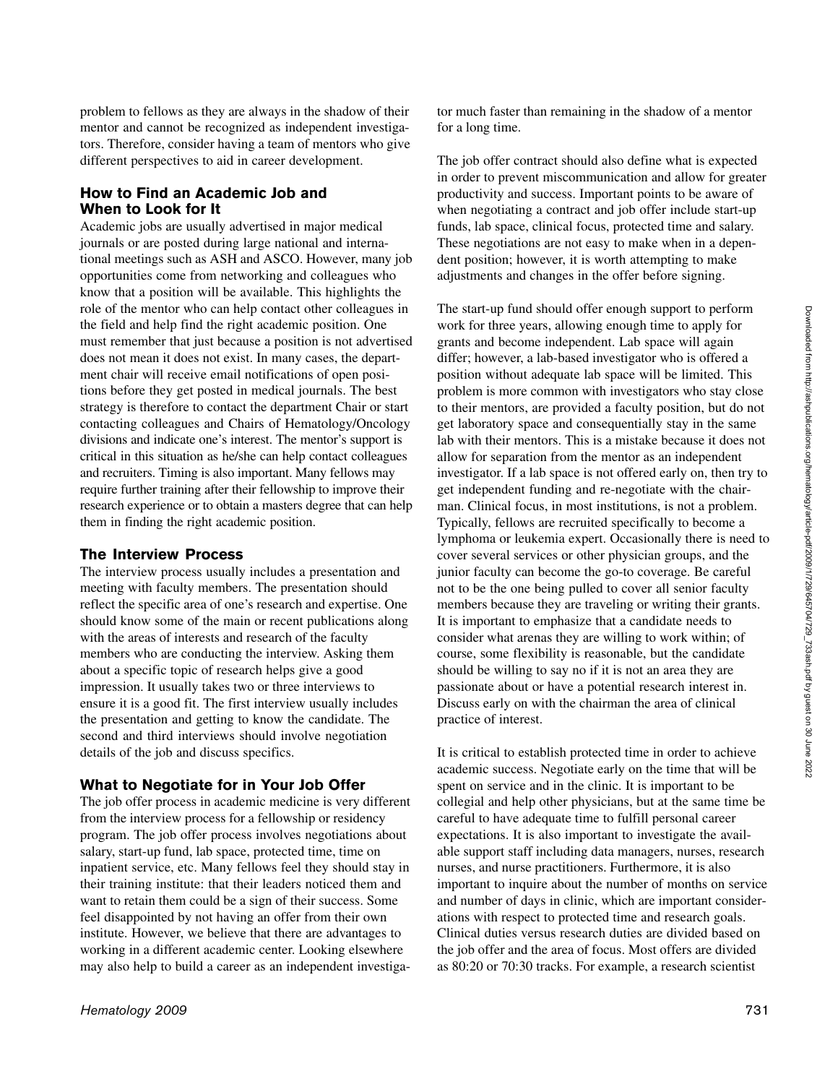problem to fellows as they are always in the shadow of their mentor and cannot be recognized as independent investigators. Therefore, consider having a team of mentors who give different perspectives to aid in career development.

# **How to Find an Academic Job and When to Look for It**

Academic jobs are usually advertised in major medical journals or are posted during large national and international meetings such as ASH and ASCO. However, many job opportunities come from networking and colleagues who know that a position will be available. This highlights the role of the mentor who can help contact other colleagues in the field and help find the right academic position. One must remember that just because a position is not advertised does not mean it does not exist. In many cases, the department chair will receive email notifications of open positions before they get posted in medical journals. The best strategy is therefore to contact the department Chair or start contacting colleagues and Chairs of Hematology/Oncology divisions and indicate one's interest. The mentor's support is critical in this situation as he/she can help contact colleagues and recruiters. Timing is also important. Many fellows may require further training after their fellowship to improve their research experience or to obtain a masters degree that can help them in finding the right academic position.

# **The Interview Process**

The interview process usually includes a presentation and meeting with faculty members. The presentation should reflect the specific area of one's research and expertise. One should know some of the main or recent publications along with the areas of interests and research of the faculty members who are conducting the interview. Asking them about a specific topic of research helps give a good impression. It usually takes two or three interviews to ensure it is a good fit. The first interview usually includes the presentation and getting to know the candidate. The second and third interviews should involve negotiation details of the job and discuss specifics.

# **What to Negotiate for in Your Job Offer**

The job offer process in academic medicine is very different from the interview process for a fellowship or residency program. The job offer process involves negotiations about salary, start-up fund, lab space, protected time, time on inpatient service, etc. Many fellows feel they should stay in their training institute: that their leaders noticed them and want to retain them could be a sign of their success. Some feel disappointed by not having an offer from their own institute. However, we believe that there are advantages to working in a different academic center. Looking elsewhere may also help to build a career as an independent investigator much faster than remaining in the shadow of a mentor for a long time.

The job offer contract should also define what is expected in order to prevent miscommunication and allow for greater productivity and success. Important points to be aware of when negotiating a contract and job offer include start-up funds, lab space, clinical focus, protected time and salary. These negotiations are not easy to make when in a dependent position; however, it is worth attempting to make adjustments and changes in the offer before signing.

The start-up fund should offer enough support to perform work for three years, allowing enough time to apply for grants and become independent. Lab space will again differ; however, a lab-based investigator who is offered a position without adequate lab space will be limited. This problem is more common with investigators who stay close to their mentors, are provided a faculty position, but do not get laboratory space and consequentially stay in the same lab with their mentors. This is a mistake because it does not allow for separation from the mentor as an independent investigator. If a lab space is not offered early on, then try to get independent funding and re-negotiate with the chairman. Clinical focus, in most institutions, is not a problem. Typically, fellows are recruited specifically to become a lymphoma or leukemia expert. Occasionally there is need to cover several services or other physician groups, and the junior faculty can become the go-to coverage. Be careful not to be the one being pulled to cover all senior faculty members because they are traveling or writing their grants. It is important to emphasize that a candidate needs to consider what arenas they are willing to work within; of course, some flexibility is reasonable, but the candidate should be willing to say no if it is not an area they are passionate about or have a potential research interest in. Discuss early on with the chairman the area of clinical practice of interest.

It is critical to establish protected time in order to achieve academic success. Negotiate early on the time that will be spent on service and in the clinic. It is important to be collegial and help other physicians, but at the same time be careful to have adequate time to fulfill personal career expectations. It is also important to investigate the available support staff including data managers, nurses, research nurses, and nurse practitioners. Furthermore, it is also important to inquire about the number of months on service and number of days in clinic, which are important considerations with respect to protected time and research goals. Clinical duties versus research duties are divided based on the job offer and the area of focus. Most offers are divided as 80:20 or 70:30 tracks. For example, a research scientist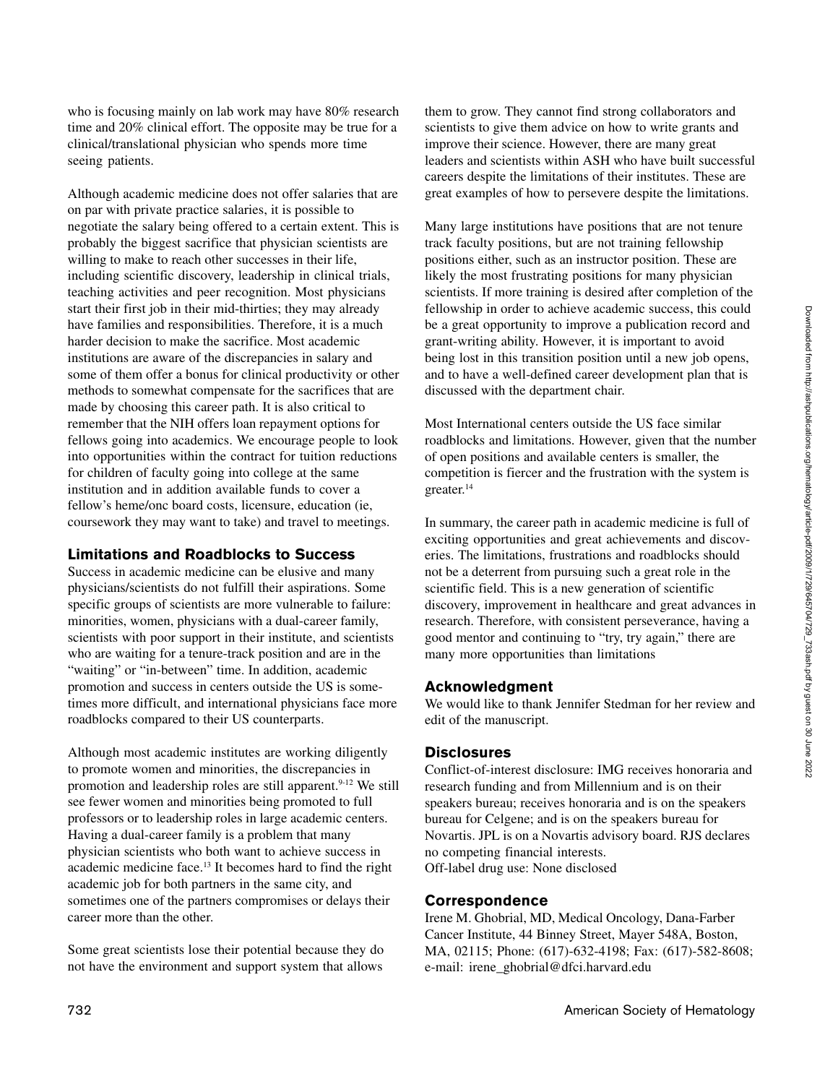who is focusing mainly on lab work may have 80% research time and 20% clinical effort. The opposite may be true for a clinical/translational physician who spends more time seeing patients.

Although academic medicine does not offer salaries that are on par with private practice salaries, it is possible to negotiate the salary being offered to a certain extent. This is probably the biggest sacrifice that physician scientists are willing to make to reach other successes in their life, including scientific discovery, leadership in clinical trials, teaching activities and peer recognition. Most physicians start their first job in their mid-thirties; they may already have families and responsibilities. Therefore, it is a much harder decision to make the sacrifice. Most academic institutions are aware of the discrepancies in salary and some of them offer a bonus for clinical productivity or other methods to somewhat compensate for the sacrifices that are made by choosing this career path. It is also critical to remember that the NIH offers loan repayment options for fellows going into academics. We encourage people to look into opportunities within the contract for tuition reductions for children of faculty going into college at the same institution and in addition available funds to cover a fellow's heme/onc board costs, licensure, education (ie, coursework they may want to take) and travel to meetings.

#### **Limitations and Roadblocks to Success**

Success in academic medicine can be elusive and many physicians/scientists do not fulfill their aspirations. Some specific groups of scientists are more vulnerable to failure: minorities, women, physicians with a dual-career family, scientists with poor support in their institute, and scientists who are waiting for a tenure-track position and are in the "waiting" or "in-between" time. In addition, academic promotion and success in centers outside the US is sometimes more difficult, and international physicians face more roadblocks compared to their US counterparts.

Although most academic institutes are working diligently to promote women and minorities, the discrepancies in promotion and leadership roles are still apparent.<sup>9-12</sup> We still see fewer women and minorities being promoted to full professors or to leadership roles in large academic centers. Having a dual-career family is a problem that many physician scientists who both want to achieve success in academic medicine face.13 It becomes hard to find the right academic job for both partners in the same city, and sometimes one of the partners compromises or delays their career more than the other.

Some great scientists lose their potential because they do not have the environment and support system that allows them to grow. They cannot find strong collaborators and scientists to give them advice on how to write grants and improve their science. However, there are many great leaders and scientists within ASH who have built successful careers despite the limitations of their institutes. These are great examples of how to persevere despite the limitations.

Many large institutions have positions that are not tenure track faculty positions, but are not training fellowship positions either, such as an instructor position. These are likely the most frustrating positions for many physician scientists. If more training is desired after completion of the fellowship in order to achieve academic success, this could be a great opportunity to improve a publication record and grant-writing ability. However, it is important to avoid being lost in this transition position until a new job opens, and to have a well-defined career development plan that is discussed with the department chair.

Most International centers outside the US face similar roadblocks and limitations. However, given that the number of open positions and available centers is smaller, the competition is fiercer and the frustration with the system is greater.<sup>14</sup>

In summary, the career path in academic medicine is full of exciting opportunities and great achievements and discoveries. The limitations, frustrations and roadblocks should not be a deterrent from pursuing such a great role in the scientific field. This is a new generation of scientific discovery, improvement in healthcare and great advances in research. Therefore, with consistent perseverance, having a good mentor and continuing to "try, try again," there are many more opportunities than limitations

#### **Acknowledgment**

We would like to thank Jennifer Stedman for her review and edit of the manuscript.

#### **Disclosures**

Conflict-of-interest disclosure: IMG receives honoraria and research funding and from Millennium and is on their speakers bureau; receives honoraria and is on the speakers bureau for Celgene; and is on the speakers bureau for Novartis. JPL is on a Novartis advisory board. RJS declares no competing financial interests. Off-label drug use: None disclosed

## **Correspondence**

Irene M. Ghobrial, MD, Medical Oncology, Dana-Farber Cancer Institute, 44 Binney Street, Mayer 548A, Boston, MA, 02115; Phone: (617)-632-4198; Fax: (617)-582-8608; e-mail: irene\_ghobrial@dfci.harvard.edu